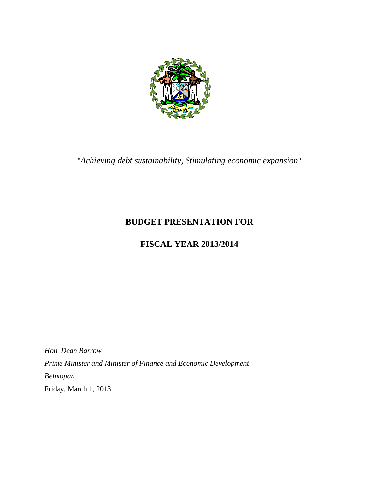

"*Achieving debt sustainability, Stimulating economic expansion*"

# **BUDGET PRESENTATION FOR**

# **FISCAL YEAR 2013/2014**

*Hon. Dean Barrow Prime Minister and Minister of Finance and Economic Development Belmopan* Friday, March 1, 2013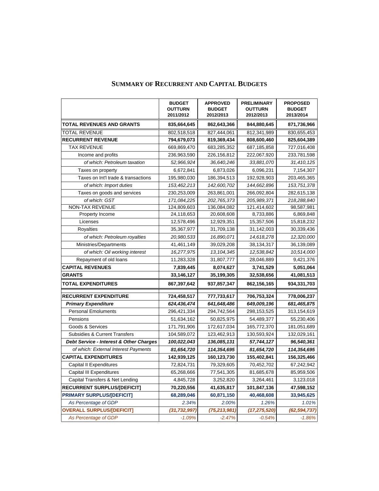|                                         | <b>BUDGET</b><br><b>OUTTURN</b><br>2011/2012 | <b>APPROVED</b><br><b>BUDGET</b><br>2012/2013 | <b>PRELIMINARY</b><br><b>OUTTURN</b><br>2012/2013 | <b>PROPOSED</b><br><b>BUDGET</b><br>2013/2014 |
|-----------------------------------------|----------------------------------------------|-----------------------------------------------|---------------------------------------------------|-----------------------------------------------|
| <b>TOTAL REVENUES AND GRANTS</b>        | 835,664,645                                  | 862,643,366                                   | 844,880,645                                       | 871,736,966                                   |
| <b>TOTAL REVENUE</b>                    | 802,518,518                                  | 827,444,061                                   | 812,341,989                                       | 830,655,453                                   |
| <b>RECURRENT REVENUE</b>                | 794,679,073                                  | 819,369,434                                   | 808,600,460                                       | 825,604,389                                   |
| <b>TAX REVENUE</b>                      | 669,869,470                                  | 683,285,352                                   | 687,185,858                                       | 727,016,408                                   |
| Income and profits                      | 236,963,590                                  | 226,156,812                                   | 222,067,920                                       | 233,781,598                                   |
| of which: Petroleum taxation            | 52,966,924                                   | 36,640,246                                    | 33,881,070                                        | 31,410,125                                    |
| Taxes on property                       | 6,672,841                                    | 6,873,026                                     | 6,096,231                                         | 7,154,307                                     |
| Taxes on Int'l trade & transactions     | 195,980,030                                  | 186,394,513                                   | 192,928,903                                       | 203,465,365                                   |
| of which: Import duties                 | 153,462,213                                  | 142,600,702                                   | 144,662,896                                       | 153,751,378                                   |
| Taxes on goods and services             | 230,253,009                                  | 263,861,001                                   | 266,092,804                                       | 282,615,138                                   |
| of which: GST                           | 171,084,225                                  | 202,765,373                                   | 205,989,371                                       | 218,288,840                                   |
| NON-TAX REVENUE                         | 124,809,603                                  | 136,084,082                                   | 121,414,602                                       | 98,587,981                                    |
| Property Income                         | 24,118,653                                   | 20,608,608                                    | 8,733,886                                         | 6,869,848                                     |
| Licenses                                | 12,578,496                                   | 12,929,351                                    | 15,357,506                                        | 15,818,232                                    |
| Royalties                               | 35,367,977                                   | 31,709,138                                    | 31,142,003                                        | 30,339,436                                    |
| of which: Petroleum royalties           | 20,980,533                                   | 16,890,071                                    | 14,618,278                                        | 12,320,000                                    |
| Ministries/Departments                  | 41,461,149                                   | 39,029,208                                    | 38,134,317                                        | 36,139,089                                    |
| of which: Oil working interest          | 16,277,975                                   | 13, 104, 345                                  | 12,538,842                                        | 10,514,000                                    |
| Repayment of old loans                  | 11,283,328                                   | 31,807,777                                    | 28,046,889                                        | 9,421,376                                     |
| <b>CAPITAL REVENUES</b>                 | 7,839,445                                    | 8,074,627                                     | 3,741,529                                         | 5,051,064                                     |
| <b>GRANTS</b>                           | 33,146,127                                   | 35,199,305                                    | 32,538,656                                        | 41,081,513                                    |
| <b>TOTAL EXPENDITURES</b>               | 867,397,642                                  | 937,857,347                                   | 862,156,165                                       | 934,331,703                                   |
| <b>RECURRENT EXPENDITURE</b>            | 724,458,517                                  | 777,733,617                                   | 706,753,324                                       | 778,006,237                                   |
| <b>Primary Expenditure</b>              | 624,436,474                                  | 641,648,486                                   | 649,009,196                                       | 681,465,875                                   |
| <b>Personal Emoluments</b>              | 296,421,334                                  | 294,742,564                                   | 298,153,525                                       | 313,154,619                                   |
| Pensions                                | 51,634,162                                   | 50,825,975                                    | 54,489,377                                        | 55,230,406                                    |
| Goods & Services                        | 171,791,906                                  | 172,617,034                                   | 165,772,370                                       | 181,051,689                                   |
| Subsidies & Current Transfers           | 104,589,072                                  | 123,462,913                                   | 130,593,924                                       | 132,029,161                                   |
| Debt Service - Interest & Other Charges | 100,022,043                                  | 136,085,131                                   | 57,744,127                                        | 96,540,361                                    |
| of which: External Interest Payments    | 81,654,720                                   | 114,354,695                                   | 81,654,720                                        | 114,354,695                                   |
| <b>CAPITAL EXPENDITURES</b>             | 142,939,125                                  | 160,123,730                                   | 155,402,841                                       | 156,325,466                                   |
| <b>Capital II Expenditures</b>          | 72,824,731                                   | 79,329,605                                    | 70,452,702                                        | 67,242,942                                    |
| <b>Capital III Expenditures</b>         | 65,268,666                                   | 77,541,305                                    | 81,685,678                                        | 85,959,506                                    |
| Capital Transfers & Net Lending         | 4,845,728                                    | 3,252,820                                     | 3,264,461                                         | 3,123,018                                     |
| <b>RECURRENT SURPLUS/[DEFICIT]</b>      | 70,220,556                                   | 41,635,817                                    | 101,847,136                                       | 47,598,152                                    |
| <b>PRIMARY SURPLUS/[DEFICIT]</b>        | 68,289,046                                   | 60,871,150                                    | 40,468,608                                        | 33,945,625                                    |
| As Percentage of GDP                    | 2.34%                                        | 2.00%                                         | 1.26%                                             | 1.01%                                         |
| <b>OVERALL SURPLUS/[DEFICIT]</b>        | (31, 732, 997)                               | (75, 213, 981)                                | (17, 275, 520)                                    | (62, 594, 737)                                |
| As Percentage of GDP                    | $-1.09%$                                     | $-2.47%$                                      | $-0.54%$                                          | $-1.86%$                                      |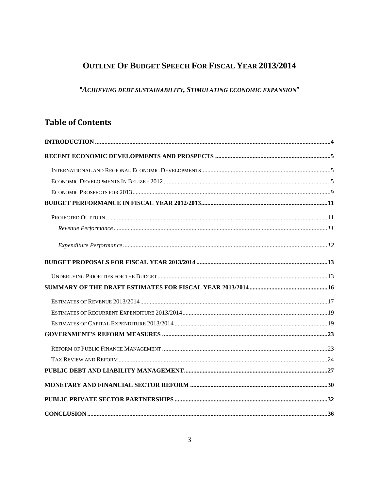# **OUTLINE OF BUDGET SPEECH FOR FISCAL YEAR 2013/2014**

# "A CHIEVING DEBT SUSTAINABILITY, STIMULATING ECONOMIC EXPANSION"

# **Table of Contents**

<span id="page-2-0"></span>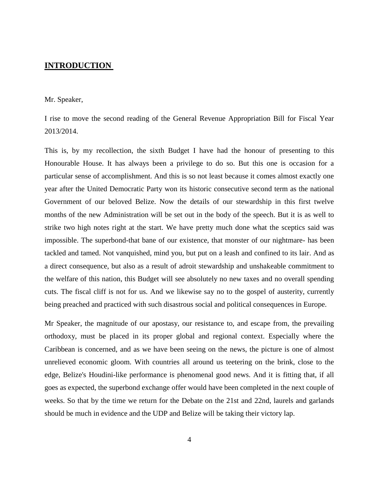## **INTRODUCTION**

#### Mr. Speaker,

I rise to move the second reading of the General Revenue Appropriation Bill for Fiscal Year 2013/2014.

This is, by my recollection, the sixth Budget I have had the honour of presenting to this Honourable House. It has always been a privilege to do so. But this one is occasion for a particular sense of accomplishment. And this is so not least because it comes almost exactly one year after the United Democratic Party won its historic consecutive second term as the national Government of our beloved Belize. Now the details of our stewardship in this first twelve months of the new Administration will be set out in the body of the speech. But it is as well to strike two high notes right at the start. We have pretty much done what the sceptics said was impossible. The superbond-that bane of our existence, that monster of our nightmare- has been tackled and tamed. Not vanquished, mind you, but put on a leash and confined to its lair. And as a direct consequence, but also as a result of adroit stewardship and unshakeable commitment to the welfare of this nation, this Budget will see absolutely no new taxes and no overall spending cuts. The fiscal cliff is not for us. And we likewise say no to the gospel of austerity, currently being preached and practiced with such disastrous social and political consequences in Europe.

Mr Speaker, the magnitude of our apostasy, our resistance to, and escape from, the prevailing orthodoxy, must be placed in its proper global and regional context. Especially where the Caribbean is concerned, and as we have been seeing on the news, the picture is one of almost unrelieved economic gloom. With countries all around us teetering on the brink, close to the edge, Belize's Houdini-like performance is phenomenal good news. And it is fitting that, if all goes as expected, the superbond exchange offer would have been completed in the next couple of weeks. So that by the time we return for the Debate on the 21st and 22nd, laurels and garlands should be much in evidence and the UDP and Belize will be taking their victory lap.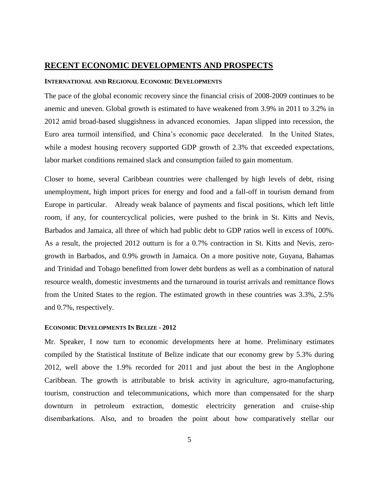### <span id="page-4-0"></span>**RECENT ECONOMIC DEVELOPMENTS AND PROSPECTS**

#### <span id="page-4-1"></span>**INTERNATIONAL AND REGIONAL ECONOMIC DEVELOPMENTS**

The pace of the global economic recovery since the financial crisis of 2008-2009 continues to be anemic and uneven. Global growth is estimated to have weakened from 3.9% in 2011 to 3.2% in 2012 amid broad-based sluggishness in advanced economies. Japan slipped into recession, the Euro area turmoil intensified, and China's economic pace decelerated. In the United States, while a modest housing recovery supported GDP growth of 2.3% that exceeded expectations, labor market conditions remained slack and consumption failed to gain momentum.

Closer to home, several Caribbean countries were challenged by high levels of debt, rising unemployment, high import prices for energy and food and a fall-off in tourism demand from Europe in particular. Already weak balance of payments and fiscal positions, which left little room, if any, for countercyclical policies, were pushed to the brink in St. Kitts and Nevis, Barbados and Jamaica, all three of which had public debt to GDP ratios well in excess of 100%. As a result, the projected 2012 outturn is for a 0.7% contraction in St. Kitts and Nevis, zerogrowth in Barbados, and 0.9% growth in Jamaica. On a more positive note, Guyana, Bahamas and Trinidad and Tobago benefitted from lower debt burdens as well as a combination of natural resource wealth, domestic investments and the turnaround in tourist arrivals and remittance flows from the United States to the region. The estimated growth in these countries was 3.3%, 2.5% and 0.7%, respectively.

#### <span id="page-4-2"></span>**ECONOMIC DEVELOPMENTS IN BELIZE - 2012**

Mr. Speaker, I now turn to economic developments here at home. Preliminary estimates compiled by the Statistical Institute of Belize indicate that our economy grew by 5.3% during 2012, well above the 1.9% recorded for 2011 and just about the best in the Anglophone Caribbean. The growth is attributable to brisk activity in agriculture, agro-manufacturing, tourism, construction and telecommunications, which more than compensated for the sharp downturn in petroleum extraction, domestic electricity generation and cruise-ship disembarkations. Also, and to broaden the point about how comparatively stellar our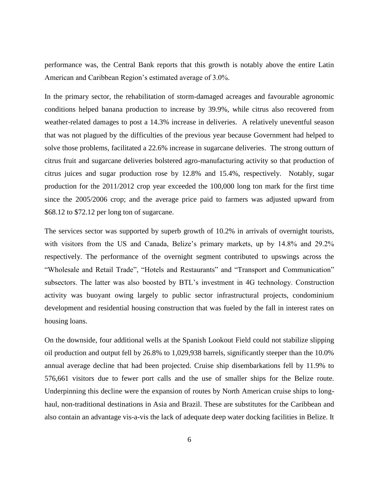performance was, the Central Bank reports that this growth is notably above the entire Latin American and Caribbean Region's estimated average of 3.0%.

In the primary sector, the rehabilitation of storm-damaged acreages and favourable agronomic conditions helped banana production to increase by 39.9%, while citrus also recovered from weather-related damages to post a 14.3% increase in deliveries. A relatively uneventful season that was not plagued by the difficulties of the previous year because Government had helped to solve those problems, facilitated a 22.6% increase in sugarcane deliveries. The strong outturn of citrus fruit and sugarcane deliveries bolstered agro-manufacturing activity so that production of citrus juices and sugar production rose by 12.8% and 15.4%, respectively. Notably, sugar production for the 2011/2012 crop year exceeded the 100,000 long ton mark for the first time since the 2005/2006 crop; and the average price paid to farmers was adjusted upward from \$68.12 to \$72.12 per long ton of sugarcane.

The services sector was supported by superb growth of 10.2% in arrivals of overnight tourists, with visitors from the US and Canada, Belize's primary markets, up by 14.8% and 29.2% respectively. The performance of the overnight segment contributed to upswings across the "Wholesale and Retail Trade", "Hotels and Restaurants" and "Transport and Communication" subsectors. The latter was also boosted by BTL's investment in 4G technology. Construction activity was buoyant owing largely to public sector infrastructural projects, condominium development and residential housing construction that was fueled by the fall in interest rates on housing loans.

On the downside, four additional wells at the Spanish Lookout Field could not stabilize slipping oil production and output fell by 26.8% to 1,029,938 barrels, significantly steeper than the 10.0% annual average decline that had been projected. Cruise ship disembarkations fell by 11.9% to 576,661 visitors due to fewer port calls and the use of smaller ships for the Belize route. Underpinning this decline were the expansion of routes by North American cruise ships to longhaul, non-traditional destinations in Asia and Brazil. These are substitutes for the Caribbean and also contain an advantage vis-a-vis the lack of adequate deep water docking facilities in Belize. It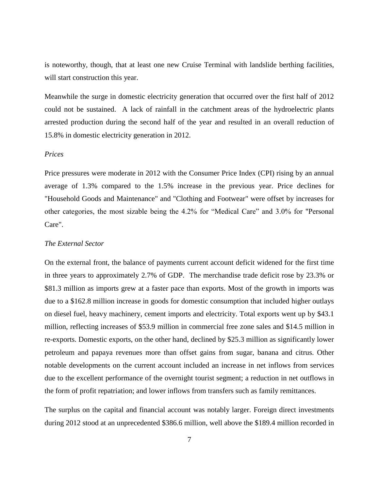is noteworthy, though, that at least one new Cruise Terminal with landslide berthing facilities, will start construction this year.

Meanwhile the surge in domestic electricity generation that occurred over the first half of 2012 could not be sustained. A lack of rainfall in the catchment areas of the hydroelectric plants arrested production during the second half of the year and resulted in an overall reduction of 15.8% in domestic electricity generation in 2012.

#### *Prices*

Price pressures were moderate in 2012 with the Consumer Price Index (CPI) rising by an annual average of 1.3% compared to the 1.5% increase in the previous year. Price declines for "Household Goods and Maintenance" and "Clothing and Footwear" were offset by increases for other categories, the most sizable being the 4.2% for "Medical Care" and 3.0% for "Personal Care".

### *The External Sector*

On the external front, the balance of payments current account deficit widened for the first time in three years to approximately 2.7% of GDP. The merchandise trade deficit rose by 23.3% or \$81.3 million as imports grew at a faster pace than exports. Most of the growth in imports was due to a \$162.8 million increase in goods for domestic consumption that included higher outlays on diesel fuel, heavy machinery, cement imports and electricity. Total exports went up by \$43.1 million, reflecting increases of \$53.9 million in commercial free zone sales and \$14.5 million in re-exports. Domestic exports, on the other hand, declined by \$25.3 million as significantly lower petroleum and papaya revenues more than offset gains from sugar, banana and citrus. Other notable developments on the current account included an increase in net inflows from services due to the excellent performance of the overnight tourist segment; a reduction in net outflows in the form of profit repatriation; and lower inflows from transfers such as family remittances.

The surplus on the capital and financial account was notably larger. Foreign direct investments during 2012 stood at an unprecedented \$386.6 million, well above the \$189.4 million recorded in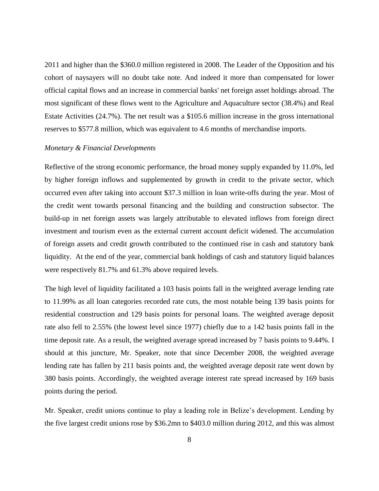2011 and higher than the \$360.0 million registered in 2008. The Leader of the Opposition and his cohort of naysayers will no doubt take note. And indeed it more than compensated for lower official capital flows and an increase in commercial banks' net foreign asset holdings abroad. The most significant of these flows went to the Agriculture and Aquaculture sector (38.4%) and Real Estate Activities (24.7%). The net result was a \$105.6 million increase in the gross international reserves to \$577.8 million, which was equivalent to 4.6 months of merchandise imports.

#### *Monetary & Financial Developments*

Reflective of the strong economic performance, the broad money supply expanded by 11.0%, led by higher foreign inflows and supplemented by growth in credit to the private sector, which occurred even after taking into account \$37.3 million in loan write-offs during the year. Most of the credit went towards personal financing and the building and construction subsector. The build-up in net foreign assets was largely attributable to elevated inflows from foreign direct investment and tourism even as the external current account deficit widened. The accumulation of foreign assets and credit growth contributed to the continued rise in cash and statutory bank liquidity. At the end of the year, commercial bank holdings of cash and statutory liquid balances were respectively 81.7% and 61.3% above required levels.

The high level of liquidity facilitated a 103 basis points fall in the weighted average lending rate to 11.99% as all loan categories recorded rate cuts, the most notable being 139 basis points for residential construction and 129 basis points for personal loans. The weighted average deposit rate also fell to 2.55% (the lowest level since 1977) chiefly due to a 142 basis points fall in the time deposit rate. As a result, the weighted average spread increased by 7 basis points to 9.44%. I should at this juncture, Mr. Speaker, note that since December 2008, the weighted average lending rate has fallen by 211 basis points and, the weighted average deposit rate went down by 380 basis points. Accordingly, the weighted average interest rate spread increased by 169 basis points during the period.

Mr. Speaker, credit unions continue to play a leading role in Belize's development. Lending by the five largest credit unions rose by \$36.2mn to \$403.0 million during 2012, and this was almost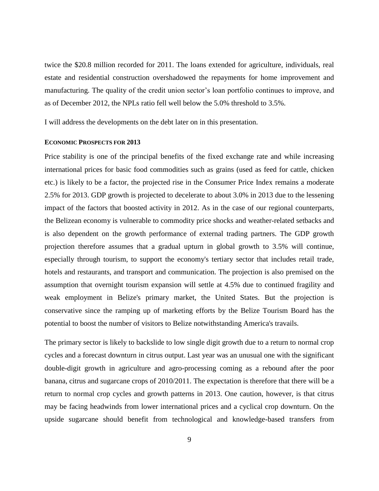twice the \$20.8 million recorded for 2011. The loans extended for agriculture, individuals, real estate and residential construction overshadowed the repayments for home improvement and manufacturing. The quality of the credit union sector's loan portfolio continues to improve, and as of December 2012, the NPLs ratio fell well below the 5.0% threshold to 3.5%.

I will address the developments on the debt later on in this presentation.

#### <span id="page-8-0"></span>**ECONOMIC PROSPECTS FOR 2013**

Price stability is one of the principal benefits of the fixed exchange rate and while increasing international prices for basic food commodities such as grains (used as feed for cattle, chicken etc.) is likely to be a factor, the projected rise in the Consumer Price Index remains a moderate 2.5% for 2013. GDP growth is projected to decelerate to about 3.0% in 2013 due to the lessening impact of the factors that boosted activity in 2012. As in the case of our regional counterparts, the Belizean economy is vulnerable to commodity price shocks and weather-related setbacks and is also dependent on the growth performance of external trading partners. The GDP growth projection therefore assumes that a gradual upturn in global growth to 3.5% will continue, especially through tourism, to support the economy's tertiary sector that includes retail trade, hotels and restaurants, and transport and communication. The projection is also premised on the assumption that overnight tourism expansion will settle at 4.5% due to continued fragility and weak employment in Belize's primary market, the United States. But the projection is conservative since the ramping up of marketing efforts by the Belize Tourism Board has the potential to boost the number of visitors to Belize notwithstanding America's travails.

The primary sector is likely to backslide to low single digit growth due to a return to normal crop cycles and a forecast downturn in citrus output. Last year was an unusual one with the significant double-digit growth in agriculture and agro-processing coming as a rebound after the poor banana, citrus and sugarcane crops of 2010/2011. The expectation is therefore that there will be a return to normal crop cycles and growth patterns in 2013. One caution, however, is that citrus may be facing headwinds from lower international prices and a cyclical crop downturn. On the upside sugarcane should benefit from technological and knowledge-based transfers from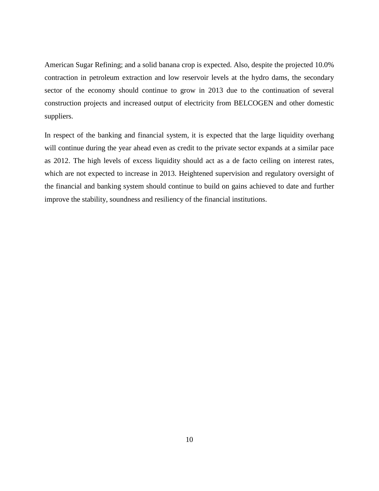American Sugar Refining; and a solid banana crop is expected. Also, despite the projected 10.0% contraction in petroleum extraction and low reservoir levels at the hydro dams, the secondary sector of the economy should continue to grow in 2013 due to the continuation of several construction projects and increased output of electricity from BELCOGEN and other domestic suppliers.

In respect of the banking and financial system, it is expected that the large liquidity overhang will continue during the year ahead even as credit to the private sector expands at a similar pace as 2012. The high levels of excess liquidity should act as a de facto ceiling on interest rates, which are not expected to increase in 2013. Heightened supervision and regulatory oversight of the financial and banking system should continue to build on gains achieved to date and further improve the stability, soundness and resiliency of the financial institutions.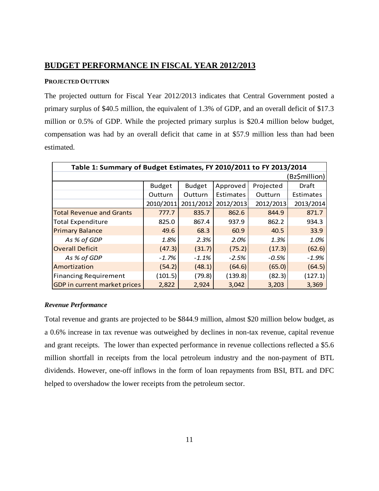# <span id="page-10-0"></span>**BUDGET PERFORMANCE IN FISCAL YEAR 2012/2013**

#### <span id="page-10-1"></span>**PROJECTED OUTTURN**

The projected outturn for Fiscal Year 2012/2013 indicates that Central Government posted a primary surplus of \$40.5 million, the equivalent of 1.3% of GDP, and an overall deficit of \$17.3 million or 0.5% of GDP. While the projected primary surplus is \$20.4 million below budget, compensation was had by an overall deficit that came in at \$57.9 million less than had been estimated.

| Table 1: Summary of Budget Estimates, FY 2010/2011 to FY 2013/2014 |               |               |           |           |              |  |  |
|--------------------------------------------------------------------|---------------|---------------|-----------|-----------|--------------|--|--|
|                                                                    |               |               |           |           | Bz\$million) |  |  |
|                                                                    | <b>Budget</b> | <b>Budget</b> | Approved  | Projected | Draft        |  |  |
|                                                                    | Outturn       | Outturn       | Estimates | Outturn   | Estimates    |  |  |
|                                                                    | 2010/2011     | 2011/2012     | 2012/2013 | 2012/2013 | 2013/2014    |  |  |
| <b>Total Revenue and Grants</b>                                    | 777.7         | 835.7         | 862.6     | 844.9     | 871.7        |  |  |
| <b>Total Expenditure</b>                                           | 825.0         | 867.4         | 937.9     | 862.2     | 934.3        |  |  |
| <b>Primary Balance</b>                                             | 49.6          | 68.3          | 60.9      | 40.5      | 33.9         |  |  |
| As % of GDP                                                        | 1.8%          | 2.3%          | 2.0%      | 1.3%      | 1.0%         |  |  |
| <b>Overall Deficit</b>                                             | (47.3)        | (31.7)        | (75.2)    | (17.3)    | (62.6)       |  |  |
| As % of GDP                                                        | $-1.7%$       | $-1.1\%$      | $-2.5%$   | $-0.5%$   | $-1.9%$      |  |  |
| Amortization                                                       | (54.2)        | (48.1)        | (64.6)    | (65.0)    | (64.5)       |  |  |
| <b>Financing Requirement</b>                                       | (101.5)       | (79.8)        | (139.8)   | (82.3)    | (127.1)      |  |  |
| GDP in current market prices                                       | 2,822         | 2,924         | 3,042     | 3,203     | 3,369        |  |  |

### <span id="page-10-2"></span>*Revenue Performance*

Total revenue and grants are projected to be \$844.9 million, almost \$20 million below budget, as a 0.6% increase in tax revenue was outweighed by declines in non-tax revenue, capital revenue and grant receipts. The lower than expected performance in revenue collections reflected a \$5.6 million shortfall in receipts from the local petroleum industry and the non-payment of BTL dividends. However, one-off inflows in the form of loan repayments from BSI, BTL and DFC helped to overshadow the lower receipts from the petroleum sector.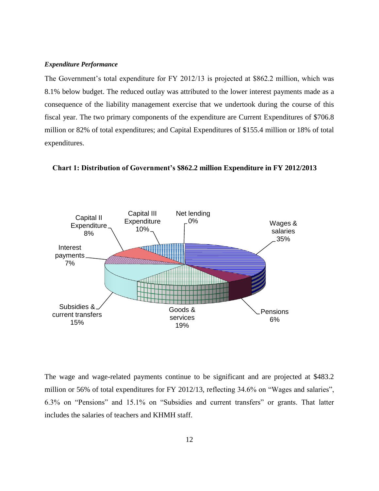#### <span id="page-11-0"></span>*Expenditure Performance*

The Government's total expenditure for FY 2012/13 is projected at \$862.2 million, which was 8.1% below budget. The reduced outlay was attributed to the lower interest payments made as a consequence of the liability management exercise that we undertook during the course of this fiscal year. The two primary components of the expenditure are Current Expenditures of \$706.8 million or 82% of total expenditures; and Capital Expenditures of \$155.4 million or 18% of total expenditures.



**Chart 1: Distribution of Government's \$862.2 million Expenditure in FY 2012/2013**

The wage and wage-related payments continue to be significant and are projected at \$483.2 million or 56% of total expenditures for FY 2012/13, reflecting 34.6% on "Wages and salaries", 6.3% on "Pensions" and 15.1% on "Subsidies and current transfers" or grants. That latter includes the salaries of teachers and KHMH staff.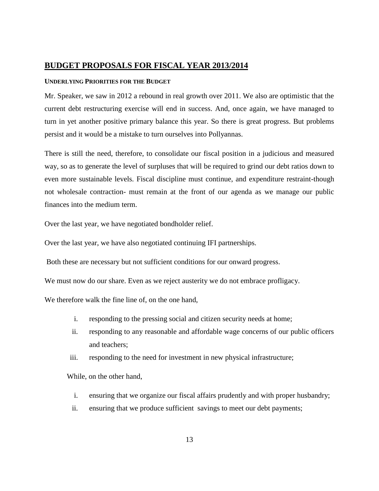## <span id="page-12-0"></span>**BUDGET PROPOSALS FOR FISCAL YEAR 2013/2014**

#### <span id="page-12-1"></span>**UNDERLYING PRIORITIES FOR THE BUDGET**

Mr. Speaker, we saw in 2012 a rebound in real growth over 2011. We also are optimistic that the current debt restructuring exercise will end in success. And, once again, we have managed to turn in yet another positive primary balance this year. So there is great progress. But problems persist and it would be a mistake to turn ourselves into Pollyannas.

There is still the need, therefore, to consolidate our fiscal position in a judicious and measured way, so as to generate the level of surpluses that will be required to grind our debt ratios down to even more sustainable levels. Fiscal discipline must continue, and expenditure restraint-though not wholesale contraction- must remain at the front of our agenda as we manage our public finances into the medium term.

Over the last year, we have negotiated bondholder relief.

Over the last year, we have also negotiated continuing IFI partnerships.

Both these are necessary but not sufficient conditions for our onward progress.

We must now do our share. Even as we reject austerity we do not embrace profligacy.

We therefore walk the fine line of, on the one hand,

- i. responding to the pressing social and citizen security needs at home;
- ii. responding to any reasonable and affordable wage concerns of our public officers and teachers;
- iii. responding to the need for investment in new physical infrastructure;

While, on the other hand,

- i. ensuring that we organize our fiscal affairs prudently and with proper husbandry;
- ii. ensuring that we produce sufficient savings to meet our debt payments;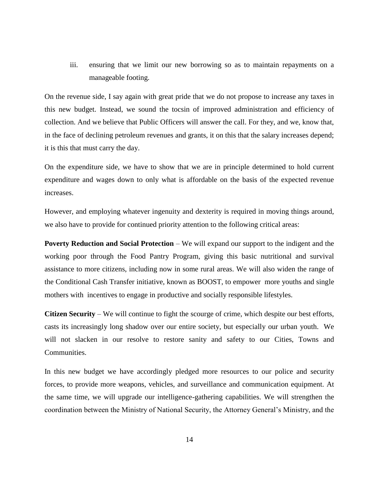iii. ensuring that we limit our new borrowing so as to maintain repayments on a manageable footing.

On the revenue side, I say again with great pride that we do not propose to increase any taxes in this new budget. Instead, we sound the tocsin of improved administration and efficiency of collection. And we believe that Public Officers will answer the call. For they, and we, know that, in the face of declining petroleum revenues and grants, it on this that the salary increases depend; it is this that must carry the day.

On the expenditure side, we have to show that we are in principle determined to hold current expenditure and wages down to only what is affordable on the basis of the expected revenue increases.

However, and employing whatever ingenuity and dexterity is required in moving things around, we also have to provide for continued priority attention to the following critical areas:

**Poverty Reduction and Social Protection** – We will expand our support to the indigent and the working poor through the Food Pantry Program, giving this basic nutritional and survival assistance to more citizens, including now in some rural areas. We will also widen the range of the Conditional Cash Transfer initiative, known as BOOST, to empower more youths and single mothers with incentives to engage in productive and socially responsible lifestyles.

**Citizen Security** – We will continue to fight the scourge of crime, which despite our best efforts, casts its increasingly long shadow over our entire society, but especially our urban youth. We will not slacken in our resolve to restore sanity and safety to our Cities, Towns and Communities.

In this new budget we have accordingly pledged more resources to our police and security forces, to provide more weapons, vehicles, and surveillance and communication equipment. At the same time, we will upgrade our intelligence-gathering capabilities. We will strengthen the coordination between the Ministry of National Security, the Attorney General's Ministry, and the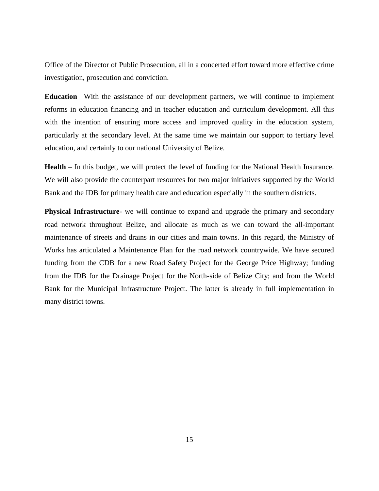Office of the Director of Public Prosecution, all in a concerted effort toward more effective crime investigation, prosecution and conviction.

**Education** –With the assistance of our development partners, we will continue to implement reforms in education financing and in teacher education and curriculum development. All this with the intention of ensuring more access and improved quality in the education system, particularly at the secondary level. At the same time we maintain our support to tertiary level education, and certainly to our national University of Belize.

**Health** – In this budget, we will protect the level of funding for the National Health Insurance. We will also provide the counterpart resources for two major initiatives supported by the World Bank and the IDB for primary health care and education especially in the southern districts.

**Physical Infrastructure**- we will continue to expand and upgrade the primary and secondary road network throughout Belize, and allocate as much as we can toward the all-important maintenance of streets and drains in our cities and main towns. In this regard, the Ministry of Works has articulated a Maintenance Plan for the road network countrywide. We have secured funding from the CDB for a new Road Safety Project for the George Price Highway; funding from the IDB for the Drainage Project for the North-side of Belize City; and from the World Bank for the Municipal Infrastructure Project. The latter is already in full implementation in many district towns.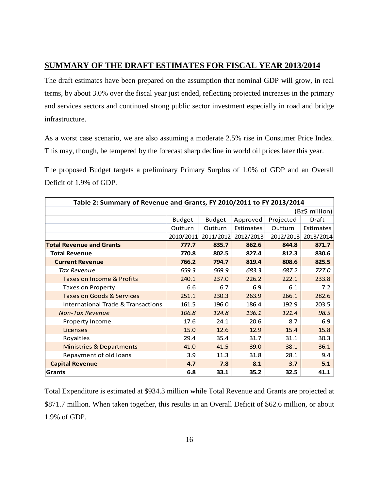# <span id="page-15-0"></span>**SUMMARY OF THE DRAFT ESTIMATES FOR FISCAL YEAR 2013/2014**

The draft estimates have been prepared on the assumption that nominal GDP will grow, in real terms, by about 3.0% over the fiscal year just ended, reflecting projected increases in the primary and services sectors and continued strong public sector investment especially in road and bridge infrastructure.

As a worst case scenario, we are also assuming a moderate 2.5% rise in Consumer Price Index. This may, though, be tempered by the forecast sharp decline in world oil prices later this year.

The proposed Budget targets a preliminary Primary Surplus of 1.0% of GDP and an Overall Deficit of 1.9% of GDP.

| Table 2: Summary of Revenue and Grants, FY 2010/2011 to FY 2013/2014 |                |               |           |           |           |  |
|----------------------------------------------------------------------|----------------|---------------|-----------|-----------|-----------|--|
|                                                                      | (Bz\$ million) |               |           |           |           |  |
|                                                                      | <b>Budget</b>  | <b>Budget</b> | Approved  | Projected | Draft     |  |
|                                                                      | Outturn        | Outturn       | Estimates | Outturn   | Estimates |  |
|                                                                      | 2010/2011      | 2011/2012     | 2012/2013 | 2012/2013 | 2013/2014 |  |
| <b>Total Revenue and Grants</b>                                      | 777.7          | 835.7         | 862.6     | 844.8     | 871.7     |  |
| <b>Total Revenue</b>                                                 | 770.8          | 802.5         | 827.4     | 812.3     | 830.6     |  |
| <b>Current Revenue</b>                                               | 766.2          | 794.7         | 819.4     | 808.6     | 825.5     |  |
| <b>Tax Revenue</b>                                                   | 659.3          | 669.9         | 683.3     | 687.2     | 727.0     |  |
| Taxes on Income & Profits                                            | 240.1          | 237.0         | 226.2     | 222.1     | 233.8     |  |
| <b>Taxes on Property</b>                                             | 6.6            | 6.7           | 6.9       | 6.1       | 7.2       |  |
| <b>Taxes on Goods &amp; Services</b>                                 | 251.1          | 230.3         | 263.9     | 266.1     | 282.6     |  |
| <b>International Trade &amp; Transactions</b>                        | 161.5          | 196.0         | 186.4     | 192.9     | 203.5     |  |
| <b>Non-Tax Revenue</b>                                               | 106.8          | 124.8         | 136.1     | 121.4     | 98.5      |  |
| Property Income                                                      | 17.6           | 24.1          | 20.6      | 8.7       | 6.9       |  |
| Licenses                                                             | 15.0           | 12.6          | 12.9      | 15.4      | 15.8      |  |
| Royalties                                                            | 29.4           | 35.4          | 31.7      | 31.1      | 30.3      |  |
| <b>Ministries &amp; Departments</b>                                  | 41.0           | 41.5          | 39.0      | 38.1      | 36.1      |  |
| Repayment of old loans                                               | 3.9            | 11.3          | 31.8      | 28.1      | 9.4       |  |
| <b>Capital Revenue</b>                                               | 4.7            | 7.8           | 8.1       | 3.7       | 5.1       |  |
| Grants                                                               | 6.8            | 33.1          | 35.2      | 32.5      | 41.1      |  |

Total Expenditure is estimated at \$934.3 million while Total Revenue and Grants are projected at \$871.7 million. When taken together, this results in an Overall Deficit of \$62.6 million, or about 1.9% of GDP.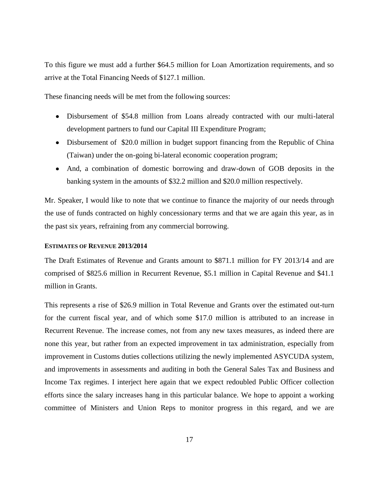To this figure we must add a further \$64.5 million for Loan Amortization requirements, and so arrive at the Total Financing Needs of \$127.1 million.

These financing needs will be met from the following sources:

- Disbursement of \$54.8 million from Loans already contracted with our multi-lateral development partners to fund our Capital III Expenditure Program;
- Disbursement of \$20.0 million in budget support financing from the Republic of China (Taiwan) under the on-going bi-lateral economic cooperation program;
- And, a combination of domestic borrowing and draw-down of GOB deposits in the banking system in the amounts of \$32.2 million and \$20.0 million respectively.

Mr. Speaker, I would like to note that we continue to finance the majority of our needs through the use of funds contracted on highly concessionary terms and that we are again this year, as in the past six years, refraining from any commercial borrowing.

#### <span id="page-16-0"></span>**ESTIMATES OF REVENUE 2013/2014**

The Draft Estimates of Revenue and Grants amount to \$871.1 million for FY 2013/14 and are comprised of \$825.6 million in Recurrent Revenue, \$5.1 million in Capital Revenue and \$41.1 million in Grants.

This represents a rise of \$26.9 million in Total Revenue and Grants over the estimated out-turn for the current fiscal year, and of which some \$17.0 million is attributed to an increase in Recurrent Revenue. The increase comes, not from any new taxes measures, as indeed there are none this year, but rather from an expected improvement in tax administration, especially from improvement in Customs duties collections utilizing the newly implemented ASYCUDA system, and improvements in assessments and auditing in both the General Sales Tax and Business and Income Tax regimes. I interject here again that we expect redoubled Public Officer collection efforts since the salary increases hang in this particular balance. We hope to appoint a working committee of Ministers and Union Reps to monitor progress in this regard, and we are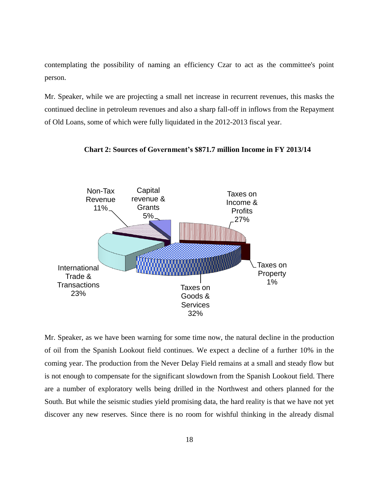contemplating the possibility of naming an efficiency Czar to act as the committee's point person.

Mr. Speaker, while we are projecting a small net increase in recurrent revenues, this masks the continued decline in petroleum revenues and also a sharp fall-off in inflows from the Repayment of Old Loans, some of which were fully liquidated in the 2012-2013 fiscal year.



**Chart 2: Sources of Government's \$871.7 million Income in FY 2013/14**

Mr. Speaker, as we have been warning for some time now, the natural decline in the production of oil from the Spanish Lookout field continues. We expect a decline of a further 10% in the coming year. The production from the Never Delay Field remains at a small and steady flow but is not enough to compensate for the significant slowdown from the Spanish Lookout field. There are a number of exploratory wells being drilled in the Northwest and others planned for the South. But while the seismic studies yield promising data, the hard reality is that we have not yet discover any new reserves. Since there is no room for wishful thinking in the already dismal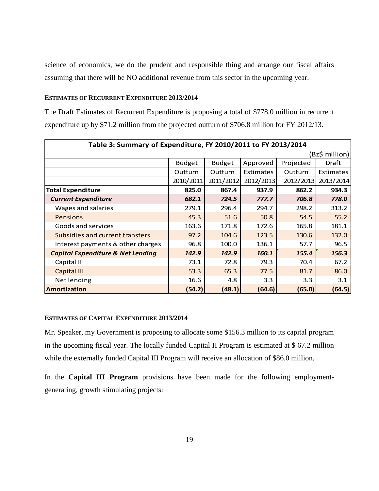science of economics, we do the prudent and responsible thing and arrange our fiscal affairs assuming that there will be NO additional revenue from this sector in the upcoming year.

#### <span id="page-18-0"></span>**ESTIMATES OF RECURRENT EXPENDITURE 2013/2014**

The Draft Estimates of Recurrent Expenditure is proposing a total of \$778.0 million in recurrent expenditure up by \$71.2 million from the projected outturn of \$706.8 million for FY 2012/13.

| Table 3: Summary of Expenditure, FY 2010/2011 to FY 2013/2014 |                |                |           |           |                |
|---------------------------------------------------------------|----------------|----------------|-----------|-----------|----------------|
|                                                               |                |                |           |           | (Bz\$ million) |
|                                                               | <b>Budget</b>  | <b>Budget</b>  | Approved  | Projected | Draft          |
|                                                               | <b>Outturn</b> | <b>Outturn</b> | Estimates | Outturn   | Estimates      |
|                                                               | 2010/2011      | 2011/2012      | 2012/2013 | 2012/2013 | 2013/2014      |
| <b>Total Expenditure</b>                                      | 825.0          | 867.4          | 937.9     | 862.2     | 934.3          |
| <b>Current Expenditure</b>                                    | 682.1          | 724.5          | 777.7     | 706.8     | 778.0          |
| Wages and salaries                                            | 279.1          | 296.4          | 294.7     | 298.2     | 313.2          |
| <b>Pensions</b>                                               | 45.3           | 51.6           | 50.8      | 54.5      | 55.2           |
| Goods and services                                            | 163.6          | 171.8          | 172.6     | 165.8     | 181.1          |
| <b>Subsidies and current transfers</b>                        | 97.2           | 104.6          | 123.5     | 130.6     | 132.0          |
| Interest payments & other charges                             | 96.8           | 100.0          | 136.1     | 57.7      | 96.5           |
| <b>Capital Expenditure &amp; Net Lending</b>                  | 142.9          | 142.9          | 160.1     | 155.4     | 156.3          |
| Capital II                                                    | 73.1           | 72.8           | 79.3      | 70.4      | 67.2           |
| Capital III                                                   | 53.3           | 65.3           | 77.5      | 81.7      | 86.0           |
| Net lending                                                   | 16.6           | 4.8            | 3.3       | 3.3       | 3.1            |
| <b>Amortization</b>                                           | (54.2)         | (48.1)         | (64.6)    | (65.0)    | (64.5)         |

#### <span id="page-18-1"></span>**ESTIMATES OF CAPITAL EXPENDITURE 2013/2014**

Mr. Speaker, my Government is proposing to allocate some \$156.3 million to its capital program in the upcoming fiscal year. The locally funded Capital II Program is estimated at \$ 67.2 million while the externally funded Capital III Program will receive an allocation of \$86.0 million.

In the **Capital III Program** provisions have been made for the following employmentgenerating, growth stimulating projects: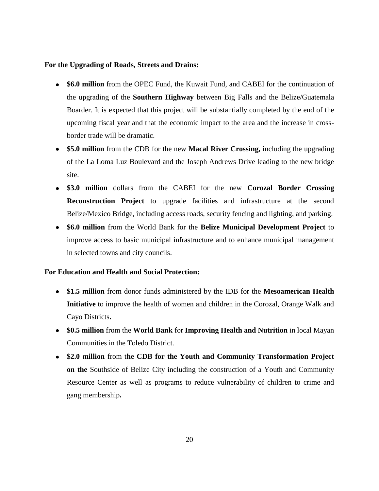#### **For the Upgrading of Roads, Streets and Drains:**

- **\$6.0 million** from the OPEC Fund, the Kuwait Fund, and CABEI for the continuation of the upgrading of the **Southern Highway** between Big Falls and the Belize/Guatemala Boarder. It is expected that this project will be substantially completed by the end of the upcoming fiscal year and that the economic impact to the area and the increase in crossborder trade will be dramatic.
- **\$5.0 million** from the CDB for the new **Macal River Crossing,** including the upgrading of the La Loma Luz Boulevard and the Joseph Andrews Drive leading to the new bridge site.
- **\$3.0 million** dollars from the CABEI for the new **Corozal Border Crossing Reconstruction Project** to upgrade facilities and infrastructure at the second Belize/Mexico Bridge, including access roads, security fencing and lighting, and parking.
- **\$6.0 million** from the World Bank for the **Belize Municipal Development Project** to improve access to basic municipal infrastructure and to enhance municipal management in selected towns and city councils.

#### **For Education and Health and Social Protection:**

- **\$1.5 million** from donor funds administered by the IDB for the **Mesoamerican Health Initiative** to improve the health of women and children in the Corozal, Orange Walk and Cayo Districts**.**
- **\$0.5 million** from the **World Bank** for **Improving Health and Nutrition** in local Mayan Communities in the Toledo District.
- **\$2.0 million** from t**he CDB for the Youth and Community Transformation Project on the** Southside of Belize City including the construction of a Youth and Community Resource Center as well as programs to reduce vulnerability of children to crime and gang membership**.**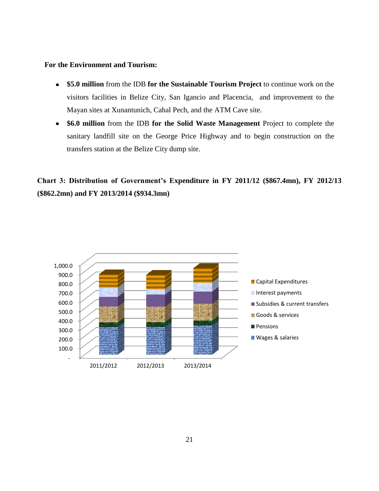### **For the Environment and Tourism:**

- **\$5.0 million** from the IDB **for the Sustainable Tourism Project** to continue work on the  $\bullet$ visitors facilities in Belize City, San Igancio and Placencia, and improvement to the Mayan sites at Xunantunich, Cahal Pech, and the ATM Cave site.
- **\$6.0 million** from the IDB **for the Solid Waste Management** Project to complete the sanitary landfill site on the George Price Highway and to begin construction on the transfers station at the Belize City dump site.

**Chart 3: Distribution of Government's Expenditure in FY 2011/12 (\$867.4mn), FY 2012/13 (\$862.2mn) and FY 2013/2014 (\$934.3mn)**

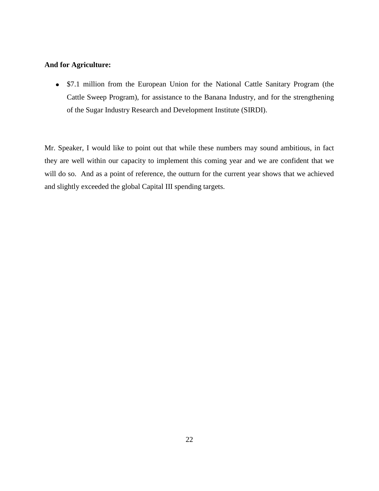## **And for Agriculture:**

• \$7.1 million from the European Union for the National Cattle Sanitary Program (the Cattle Sweep Program), for assistance to the Banana Industry, and for the strengthening of the Sugar Industry Research and Development Institute (SIRDI).

Mr. Speaker, I would like to point out that while these numbers may sound ambitious, in fact they are well within our capacity to implement this coming year and we are confident that we will do so. And as a point of reference, the outturn for the current year shows that we achieved and slightly exceeded the global Capital III spending targets.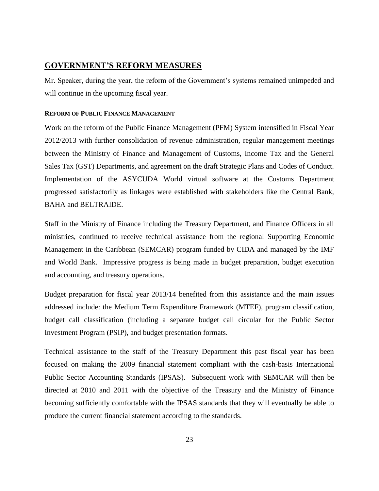## <span id="page-22-0"></span>**GOVERNMENT'S REFORM MEASURES**

Mr. Speaker, during the year, the reform of the Government's systems remained unimpeded and will continue in the upcoming fiscal year.

#### <span id="page-22-1"></span>**REFORM OF PUBLIC FINANCE MANAGEMENT**

Work on the reform of the Public Finance Management (PFM) System intensified in Fiscal Year 2012/2013 with further consolidation of revenue administration, regular management meetings between the Ministry of Finance and Management of Customs, Income Tax and the General Sales Tax (GST) Departments, and agreement on the draft Strategic Plans and Codes of Conduct. Implementation of the ASYCUDA World virtual software at the Customs Department progressed satisfactorily as linkages were established with stakeholders like the Central Bank, BAHA and BELTRAIDE.

Staff in the Ministry of Finance including the Treasury Department, and Finance Officers in all ministries, continued to receive technical assistance from the regional Supporting Economic Management in the Caribbean (SEMCAR) program funded by CIDA and managed by the IMF and World Bank. Impressive progress is being made in budget preparation, budget execution and accounting, and treasury operations.

Budget preparation for fiscal year 2013/14 benefited from this assistance and the main issues addressed include: the Medium Term Expenditure Framework (MTEF), program classification, budget call classification (including a separate budget call circular for the Public Sector Investment Program (PSIP), and budget presentation formats.

Technical assistance to the staff of the Treasury Department this past fiscal year has been focused on making the 2009 financial statement compliant with the cash-basis International Public Sector Accounting Standards (IPSAS). Subsequent work with SEMCAR will then be directed at 2010 and 2011 with the objective of the Treasury and the Ministry of Finance becoming sufficiently comfortable with the IPSAS standards that they will eventually be able to produce the current financial statement according to the standards.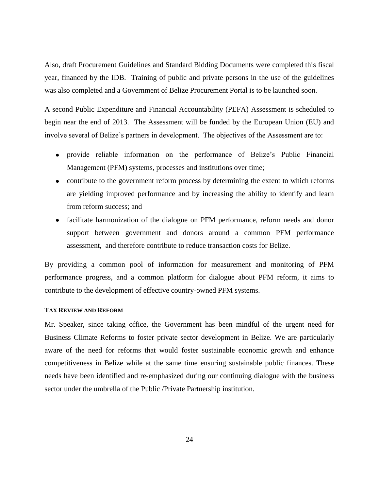Also, draft Procurement Guidelines and Standard Bidding Documents were completed this fiscal year, financed by the IDB. Training of public and private persons in the use of the guidelines was also completed and a Government of Belize Procurement Portal is to be launched soon.

A second Public Expenditure and Financial Accountability (PEFA) Assessment is scheduled to begin near the end of 2013. The Assessment will be funded by the European Union (EU) and involve several of Belize's partners in development. The objectives of the Assessment are to:

- provide reliable information on the performance of Belize's Public Financial Management (PFM) systems, processes and institutions over time;
- contribute to the government reform process by determining the extent to which reforms are yielding improved performance and by increasing the ability to identify and learn from reform success; and
- facilitate harmonization of the dialogue on PFM performance, reform needs and donor support between government and donors around a common PFM performance assessment, and therefore contribute to reduce transaction costs for Belize.

By providing a common pool of information for measurement and monitoring of PFM performance progress, and a common platform for dialogue about PFM reform, it aims to contribute to the development of effective country-owned PFM systems.

#### <span id="page-23-0"></span>**TAX REVIEW AND REFORM**

Mr. Speaker, since taking office, the Government has been mindful of the urgent need for Business Climate Reforms to foster private sector development in Belize. We are particularly aware of the need for reforms that would foster sustainable economic growth and enhance competitiveness in Belize while at the same time ensuring sustainable public finances. These needs have been identified and re-emphasized during our continuing dialogue with the business sector under the umbrella of the Public /Private Partnership institution.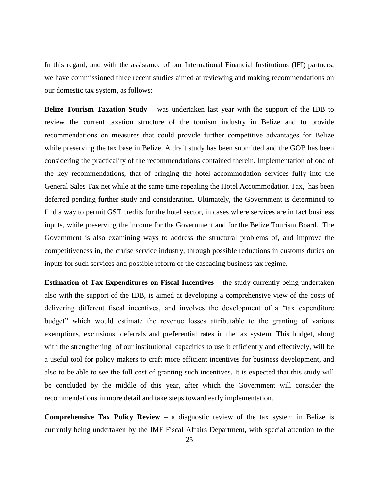In this regard, and with the assistance of our International Financial Institutions (IFI) partners, we have commissioned three recent studies aimed at reviewing and making recommendations on our domestic tax system, as follows:

**Belize Tourism Taxation Study** – was undertaken last year with the support of the IDB to review the current taxation structure of the tourism industry in Belize and to provide recommendations on measures that could provide further competitive advantages for Belize while preserving the tax base in Belize. A draft study has been submitted and the GOB has been considering the practicality of the recommendations contained therein. Implementation of one of the key recommendations, that of bringing the hotel accommodation services fully into the General Sales Tax net while at the same time repealing the Hotel Accommodation Tax, has been deferred pending further study and consideration. Ultimately, the Government is determined to find a way to permit GST credits for the hotel sector, in cases where services are in fact business inputs, while preserving the income for the Government and for the Belize Tourism Board. The Government is also examining ways to address the structural problems of, and improve the competitiveness in, the cruise service industry, through possible reductions in customs duties on inputs for such services and possible reform of the cascading business tax regime.

**Estimation of Tax Expenditures on Fiscal Incentives –** the study currently being undertaken also with the support of the IDB, is aimed at developing a comprehensive view of the costs of delivering different fiscal incentives, and involves the development of a "tax expenditure budget" which would estimate the revenue losses attributable to the granting of various exemptions, exclusions, deferrals and preferential rates in the tax system. This budget, along with the strengthening of our institutional capacities to use it efficiently and effectively, will be a useful tool for policy makers to craft more efficient incentives for business development, and also to be able to see the full cost of granting such incentives. It is expected that this study will be concluded by the middle of this year, after which the Government will consider the recommendations in more detail and take steps toward early implementation.

**Comprehensive Tax Policy Review** – a diagnostic review of the tax system in Belize is currently being undertaken by the IMF Fiscal Affairs Department, with special attention to the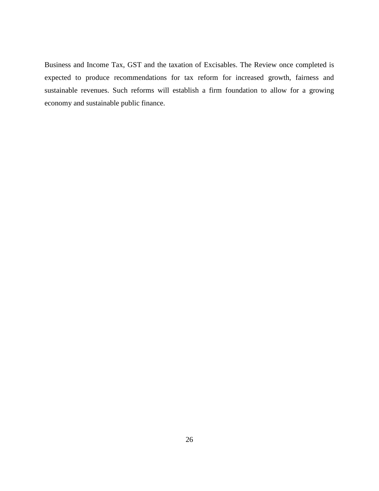Business and Income Tax, GST and the taxation of Excisables. The Review once completed is expected to produce recommendations for tax reform for increased growth, fairness and sustainable revenues. Such reforms will establish a firm foundation to allow for a growing economy and sustainable public finance.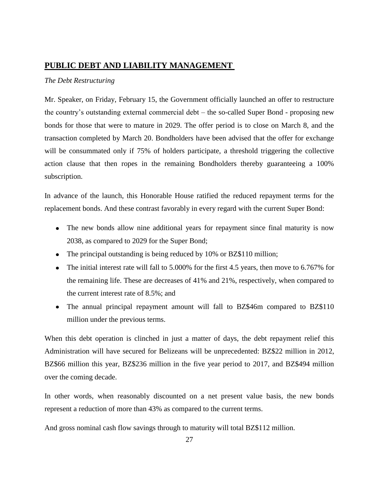## <span id="page-26-0"></span>**PUBLIC DEBT AND LIABILITY MANAGEMENT**

### *The Debt Restructuring*

Mr. Speaker, on Friday, February 15, the Government officially launched an offer to restructure the country's outstanding external commercial debt – the so-called Super Bond - proposing new bonds for those that were to mature in 2029. The offer period is to close on March 8, and the transaction completed by March 20. Bondholders have been advised that the offer for exchange will be consummated only if 75% of holders participate, a threshold triggering the collective action clause that then ropes in the remaining Bondholders thereby guaranteeing a 100% subscription.

In advance of the launch, this Honorable House ratified the reduced repayment terms for the replacement bonds. And these contrast favorably in every regard with the current Super Bond:

- The new bonds allow nine additional years for repayment since final maturity is now 2038, as compared to 2029 for the Super Bond;
- The principal outstanding is being reduced by 10% or BZ\$110 million;
- The initial interest rate will fall to 5.000% for the first 4.5 years, then move to 6.767% for the remaining life. These are decreases of 41% and 21%, respectively, when compared to the current interest rate of 8.5%; and
- The annual principal repayment amount will fall to BZ\$46m compared to BZ\$110 million under the previous terms.

When this debt operation is clinched in just a matter of days, the debt repayment relief this Administration will have secured for Belizeans will be unprecedented: BZ\$22 million in 2012, BZ\$66 million this year, BZ\$236 million in the five year period to 2017, and BZ\$494 million over the coming decade.

In other words, when reasonably discounted on a net present value basis, the new bonds represent a reduction of more than 43% as compared to the current terms.

And gross nominal cash flow savings through to maturity will total BZ\$112 million.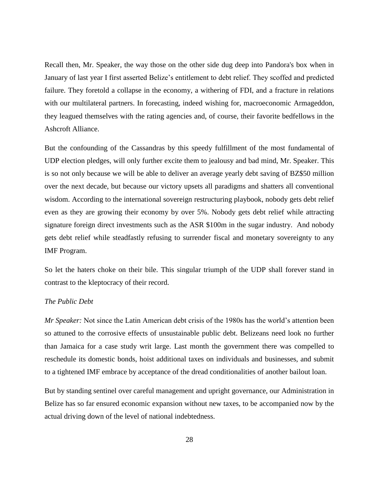Recall then, Mr. Speaker, the way those on the other side dug deep into Pandora's box when in January of last year I first asserted Belize's entitlement to debt relief. They scoffed and predicted failure. They foretold a collapse in the economy, a withering of FDI, and a fracture in relations with our multilateral partners. In forecasting, indeed wishing for, macroeconomic Armageddon, they leagued themselves with the rating agencies and, of course, their favorite bedfellows in the Ashcroft Alliance.

But the confounding of the Cassandras by this speedy fulfillment of the most fundamental of UDP election pledges, will only further excite them to jealousy and bad mind, Mr. Speaker. This is so not only because we will be able to deliver an average yearly debt saving of BZ\$50 million over the next decade, but because our victory upsets all paradigms and shatters all conventional wisdom. According to the international sovereign restructuring playbook, nobody gets debt relief even as they are growing their economy by over 5%. Nobody gets debt relief while attracting signature foreign direct investments such as the ASR \$100m in the sugar industry. And nobody gets debt relief while steadfastly refusing to surrender fiscal and monetary sovereignty to any IMF Program.

So let the haters choke on their bile. This singular triumph of the UDP shall forever stand in contrast to the kleptocracy of their record.

#### *The Public Debt*

*Mr Speaker:* Not since the Latin American debt crisis of the 1980s has the world's attention been so attuned to the corrosive effects of unsustainable public debt. Belizeans need look no further than Jamaica for a case study writ large. Last month the government there was compelled to reschedule its domestic bonds, hoist additional taxes on individuals and businesses, and submit to a tightened IMF embrace by acceptance of the dread conditionalities of another bailout loan.

But by standing sentinel over careful management and upright governance, our Administration in Belize has so far ensured economic expansion without new taxes, to be accompanied now by the actual driving down of the level of national indebtedness.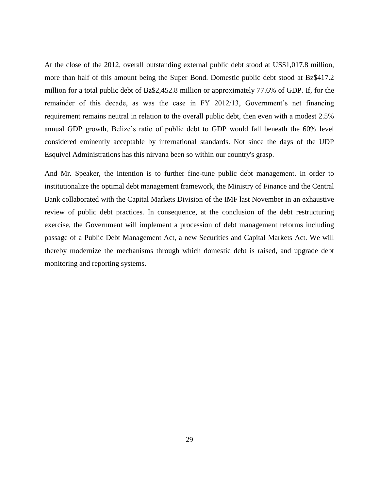At the close of the 2012, overall outstanding external public debt stood at US\$1,017.8 million, more than half of this amount being the Super Bond. Domestic public debt stood at Bz\$417.2 million for a total public debt of Bz\$2,452.8 million or approximately 77.6% of GDP. If, for the remainder of this decade, as was the case in FY 2012/13, Government's net financing requirement remains neutral in relation to the overall public debt, then even with a modest 2.5% annual GDP growth, Belize's ratio of public debt to GDP would fall beneath the 60% level considered eminently acceptable by international standards. Not since the days of the UDP Esquivel Administrations has this nirvana been so within our country's grasp.

And Mr. Speaker, the intention is to further fine-tune public debt management. In order to institutionalize the optimal debt management framework, the Ministry of Finance and the Central Bank collaborated with the Capital Markets Division of the IMF last November in an exhaustive review of public debt practices. In consequence, at the conclusion of the debt restructuring exercise, the Government will implement a procession of debt management reforms including passage of a Public Debt Management Act, a new Securities and Capital Markets Act. We will thereby modernize the mechanisms through which domestic debt is raised, and upgrade debt monitoring and reporting systems.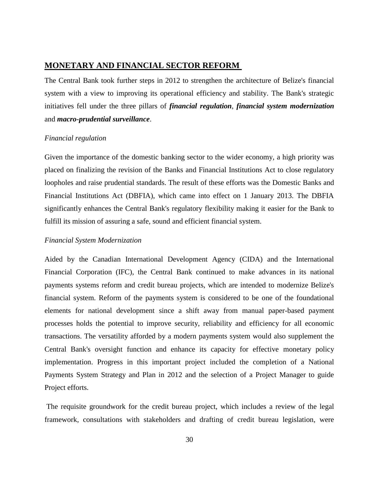## <span id="page-29-0"></span>**MONETARY AND FINANCIAL SECTOR REFORM**

The Central Bank took further steps in 2012 to strengthen the architecture of Belize's financial system with a view to improving its operational efficiency and stability. The Bank's strategic initiatives fell under the three pillars of *financial regulation*, *financial system modernization*  and *macro-prudential surveillance*.

#### *Financial regulation*

Given the importance of the domestic banking sector to the wider economy, a high priority was placed on finalizing the revision of the Banks and Financial Institutions Act to close regulatory loopholes and raise prudential standards. The result of these efforts was the Domestic Banks and Financial Institutions Act (DBFIA), which came into effect on 1 January 2013. The DBFIA significantly enhances the Central Bank's regulatory flexibility making it easier for the Bank to fulfill its mission of assuring a safe, sound and efficient financial system.

#### *Financial System Modernization*

Aided by the Canadian International Development Agency (CIDA) and the International Financial Corporation (IFC), the Central Bank continued to make advances in its national payments systems reform and credit bureau projects, which are intended to modernize Belize's financial system. Reform of the payments system is considered to be one of the foundational elements for national development since a shift away from manual paper-based payment processes holds the potential to improve security, reliability and efficiency for all economic transactions. The versatility afforded by a modern payments system would also supplement the Central Bank's oversight function and enhance its capacity for effective monetary policy implementation. Progress in this important project included the completion of a National Payments System Strategy and Plan in 2012 and the selection of a Project Manager to guide Project efforts.

The requisite groundwork for the credit bureau project, which includes a review of the legal framework, consultations with stakeholders and drafting of credit bureau legislation, were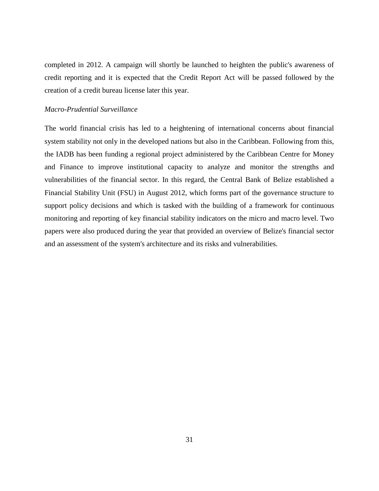completed in 2012. A campaign will shortly be launched to heighten the public's awareness of credit reporting and it is expected that the Credit Report Act will be passed followed by the creation of a credit bureau license later this year.

### *Macro-Prudential Surveillance*

The world financial crisis has led to a heightening of international concerns about financial system stability not only in the developed nations but also in the Caribbean. Following from this, the IADB has been funding a regional project administered by the Caribbean Centre for Money and Finance to improve institutional capacity to analyze and monitor the strengths and vulnerabilities of the financial sector. In this regard, the Central Bank of Belize established a Financial Stability Unit (FSU) in August 2012, which forms part of the governance structure to support policy decisions and which is tasked with the building of a framework for continuous monitoring and reporting of key financial stability indicators on the micro and macro level. Two papers were also produced during the year that provided an overview of Belize's financial sector and an assessment of the system's architecture and its risks and vulnerabilities.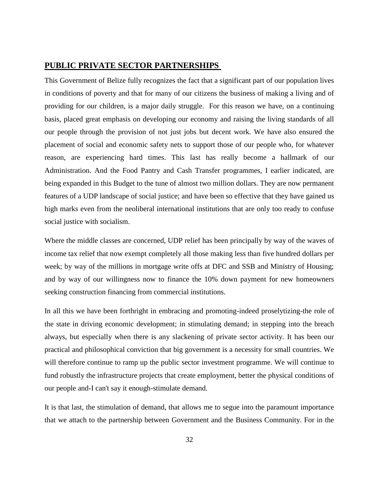## <span id="page-31-0"></span>**PUBLIC PRIVATE SECTOR PARTNERSHIPS**

This Government of Belize fully recognizes the fact that a significant part of our population lives in conditions of poverty and that for many of our citizens the business of making a living and of providing for our children, is a major daily struggle. For this reason we have, on a continuing basis, placed great emphasis on developing our economy and raising the living standards of all our people through the provision of not just jobs but decent work. We have also ensured the placement of social and economic safety nets to support those of our people who, for whatever reason, are experiencing hard times. This last has really become a hallmark of our Administration. And the Food Pantry and Cash Transfer programmes, I earlier indicated, are being expanded in this Budget to the tune of almost two million dollars. They are now permanent features of a UDP landscape of social justice; and have been so effective that they have gained us high marks even from the neoliberal international institutions that are only too ready to confuse social justice with socialism.

Where the middle classes are concerned, UDP relief has been principally by way of the waves of income tax relief that now exempt completely all those making less than five hundred dollars per week; by way of the millions in mortgage write offs at DFC and SSB and Ministry of Housing; and by way of our willingness now to finance the 10% down payment for new homeowners seeking construction financing from commercial institutions.

In all this we have been forthright in embracing and promoting-indeed proselytizing-the role of the state in driving economic development; in stimulating demand; in stepping into the breach always, but especially when there is any slackening of private sector activity. It has been our practical and philosophical conviction that big government is a necessity for small countries. We will therefore continue to ramp up the public sector investment programme. We will continue to fund robustly the infrastructure projects that create employment, better the physical conditions of our people and-I can't say it enough-stimulate demand.

It is that last, the stimulation of demand, that allows me to segue into the paramount importance that we attach to the partnership between Government and the Business Community. For in the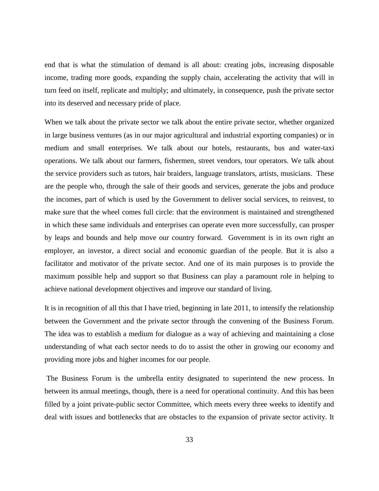end that is what the stimulation of demand is all about: creating jobs, increasing disposable income, trading more goods, expanding the supply chain, accelerating the activity that will in turn feed on itself, replicate and multiply; and ultimately, in consequence, push the private sector into its deserved and necessary pride of place.

When we talk about the private sector we talk about the entire private sector, whether organized in large business ventures (as in our major agricultural and industrial exporting companies) or in medium and small enterprises. We talk about our hotels, restaurants, bus and water-taxi operations. We talk about our farmers, fishermen, street vendors, tour operators. We talk about the service providers such as tutors, hair braiders, language translators, artists, musicians. These are the people who, through the sale of their goods and services, generate the jobs and produce the incomes, part of which is used by the Government to deliver social services, to reinvest, to make sure that the wheel comes full circle: that the environment is maintained and strengthened in which these same individuals and enterprises can operate even more successfully, can prosper by leaps and bounds and help move our country forward. Government is in its own right an employer, an investor, a direct social and economic guardian of the people. But it is also a facilitator and motivator of the private sector. And one of its main purposes is to provide the maximum possible help and support so that Business can play a paramount role in helping to achieve national development objectives and improve our standard of living.

It is in recognition of all this that I have tried, beginning in late 2011, to intensify the relationship between the Government and the private sector through the convening of the Business Forum. The idea was to establish a medium for dialogue as a way of achieving and maintaining a close understanding of what each sector needs to do to assist the other in growing our economy and providing more jobs and higher incomes for our people.

The Business Forum is the umbrella entity designated to superintend the new process. In between its annual meetings, though, there is a need for operational continuity. And this has been filled by a joint private-public sector Committee, which meets every three weeks to identify and deal with issues and bottlenecks that are obstacles to the expansion of private sector activity. It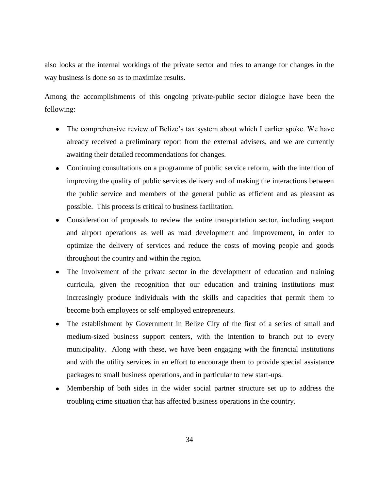also looks at the internal workings of the private sector and tries to arrange for changes in the way business is done so as to maximize results.

Among the accomplishments of this ongoing private-public sector dialogue have been the following:

- The comprehensive review of Belize's tax system about which I earlier spoke. We have already received a preliminary report from the external advisers, and we are currently awaiting their detailed recommendations for changes.
- Continuing consultations on a programme of public service reform, with the intention of improving the quality of public services delivery and of making the interactions between the public service and members of the general public as efficient and as pleasant as possible. This process is critical to business facilitation.
- Consideration of proposals to review the entire transportation sector, including seaport and airport operations as well as road development and improvement, in order to optimize the delivery of services and reduce the costs of moving people and goods throughout the country and within the region.
- The involvement of the private sector in the development of education and training  $\bullet$ curricula, given the recognition that our education and training institutions must increasingly produce individuals with the skills and capacities that permit them to become both employees or self-employed entrepreneurs.
- The establishment by Government in Belize City of the first of a series of small and  $\bullet$ medium-sized business support centers, with the intention to branch out to every municipality. Along with these, we have been engaging with the financial institutions and with the utility services in an effort to encourage them to provide special assistance packages to small business operations, and in particular to new start-ups.
- Membership of both sides in the wider social partner structure set up to address the troubling crime situation that has affected business operations in the country.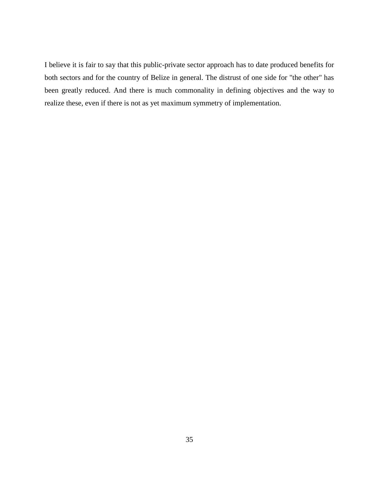I believe it is fair to say that this public-private sector approach has to date produced benefits for both sectors and for the country of Belize in general. The distrust of one side for "the other" has been greatly reduced. And there is much commonality in defining objectives and the way to realize these, even if there is not as yet maximum symmetry of implementation.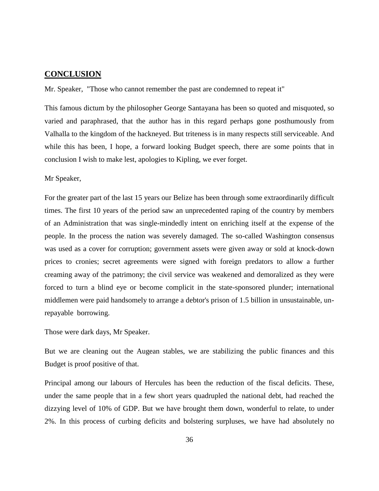### <span id="page-35-0"></span>**CONCLUSION**

Mr. Speaker, "Those who cannot remember the past are condemned to repeat it"

This famous dictum by the philosopher George Santayana has been so quoted and misquoted, so varied and paraphrased, that the author has in this regard perhaps gone posthumously from Valhalla to the kingdom of the hackneyed. But triteness is in many respects still serviceable. And while this has been, I hope, a forward looking Budget speech, there are some points that in conclusion I wish to make lest, apologies to Kipling, we ever forget.

### Mr Speaker,

For the greater part of the last 15 years our Belize has been through some extraordinarily difficult times. The first 10 years of the period saw an unprecedented raping of the country by members of an Administration that was single-mindedly intent on enriching itself at the expense of the people. In the process the nation was severely damaged. The so-called Washington consensus was used as a cover for corruption; government assets were given away or sold at knock-down prices to cronies; secret agreements were signed with foreign predators to allow a further creaming away of the patrimony; the civil service was weakened and demoralized as they were forced to turn a blind eye or become complicit in the state-sponsored plunder; international middlemen were paid handsomely to arrange a debtor's prison of 1.5 billion in unsustainable, unrepayable borrowing.

Those were dark days, Mr Speaker.

But we are cleaning out the Augean stables, we are stabilizing the public finances and this Budget is proof positive of that.

Principal among our labours of Hercules has been the reduction of the fiscal deficits. These, under the same people that in a few short years quadrupled the national debt, had reached the dizzying level of 10% of GDP. But we have brought them down, wonderful to relate, to under 2%. In this process of curbing deficits and bolstering surpluses, we have had absolutely no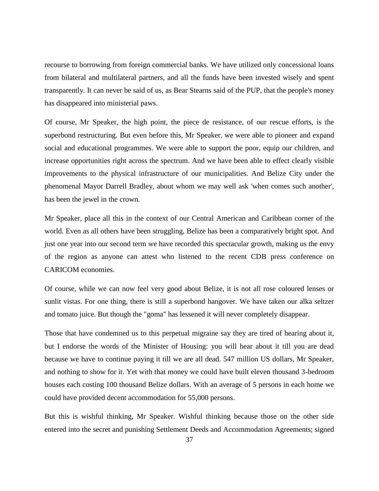recourse to borrowing from foreign commercial banks. We have utilized only concessional loans from bilateral and multilateral partners, and all the funds have been invested wisely and spent transparently. It can never be said of us, as Bear Stearns said of the PUP, that the people's money has disappeared into ministerial paws.

Of course, Mr Speaker, the high point, the piece de resistance, of our rescue efforts, is the superbond restructuring. But even before this, Mr Speaker, we were able to pioneer and expand social and educational programmes. We were able to support the poor, equip our children, and increase opportunities right across the spectrum. And we have been able to effect clearly visible improvements to the physical infrastructure of our municipalities. And Belize City under the phenomenal Mayor Darrell Bradley, about whom we may well ask 'when comes such another', has been the jewel in the crown.

Mr Speaker, place all this in the context of our Central American and Caribbean corner of the world. Even as all others have been struggling, Belize has been a comparatively bright spot. And just one year into our second term we have recorded this spectacular growth, making us the envy of the region as anyone can attest who listened to the recent CDB press conference on CARICOM economies.

Of course, while we can now feel very good about Belize, it is not all rose coloured lenses or sunlit vistas. For one thing, there is still a superbond hangover. We have taken our alka seltzer and tomato juice. But though the "goma" has lessened it will never completely disappear.

Those that have condemned us to this perpetual migraine say they are tired of hearing about it, but I endorse the words of the Minister of Housing: you will hear about it till you are dead because we have to continue paying it till we are all dead. 547 million US dollars, Mr Speaker, and nothing to show for it. Yet with that money we could have built eleven thousand 3-bedroom houses each costing 100 thousand Belize dollars. With an average of 5 persons in each home we could have provided decent accommodation for 55,000 persons.

But this is wishful thinking, Mr Speaker. Wishful thinking because those on the other side entered into the secret and punishing Settlement Deeds and Accommodation Agreements; signed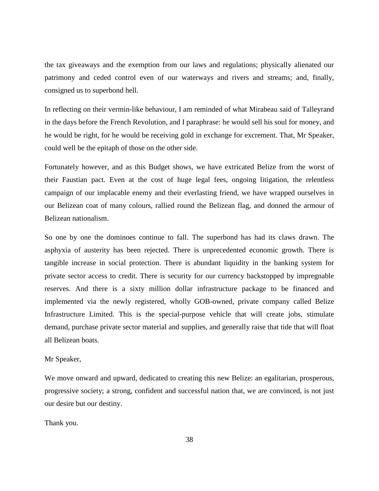the tax giveaways and the exemption from our laws and regulations; physically alienated our patrimony and ceded control even of our waterways and rivers and streams; and, finally, consigned us to superbond hell.

In reflecting on their vermin-like behaviour, I am reminded of what Mirabeau said of Talleyrand in the days before the French Revolution, and I paraphrase: he would sell his soul for money, and he would be right, for he would be receiving gold in exchange for excrement. That, Mr Speaker, could well be the epitaph of those on the other side.

Fortunately however, and as this Budget shows, we have extricated Belize from the worst of their Faustian pact. Even at the cost of huge legal fees, ongoing litigation, the relentless campaign of our implacable enemy and their everlasting friend, we have wrapped ourselves in our Belizean coat of many colours, rallied round the Belizean flag, and donned the armour of Belizean nationalism.

So one by one the dominoes continue to fall. The superbond has had its claws drawn. The asphyxia of austerity has been rejected. There is unprecedented economic growth. There is tangible increase in social protection. There is abundant liquidity in the banking system for private sector access to credit. There is security for our currency backstopped by impregnable reserves. And there is a sixty million dollar infrastructure package to be financed and implemented via the newly registered, wholly GOB-owned, private company called Belize Infrastructure Limited. This is the special-purpose vehicle that will create jobs, stimulate demand, purchase private sector material and supplies, and generally raise that tide that will float all Belizean boats.

#### Mr Speaker,

We move onward and upward, dedicated to creating this new Belize: an egalitarian, prosperous, progressive society; a strong, confident and successful nation that, we are convinced, is not just our desire but our destiny.

Thank you.